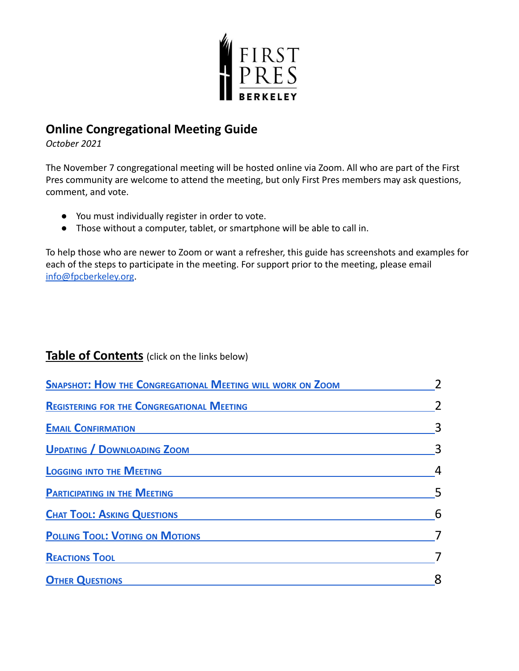

# **Online Congregational Meeting Guide**

*October 2021*

The November 7 congregational meeting will be hosted online via Zoom. All who are part of the First Pres community are welcome to attend the meeting, but only First Pres members may ask questions, comment, and vote.

- You must individually register in order to vote.
- Those without a computer, tablet, or smartphone will be able to call in.

To help those who are newer to Zoom or want a refresher, this guide has screenshots and examples for each of the steps to participate in the meeting. For support prior to the meeting, please email [info@fpcberkeley.org](mailto:info@fpcberkeley.org).

## **Table of Contents** (click on the links below)

| <b>SNAPSHOT: HOW THE CONGREGATIONAL MEETING WILL WORK ON ZOOM</b> |   |
|-------------------------------------------------------------------|---|
| <b>REGISTERING FOR THE CONGREGATIONAL MEETING</b>                 |   |
| <b>EMAIL CONFIRMATION</b>                                         |   |
| <b>UPDATING / DOWNLOADING ZOOM</b>                                |   |
| <b>LOGGING INTO THE MEETING</b>                                   |   |
| <b>PARTICIPATING IN THE MEETING</b>                               |   |
| <b>CHAT TOOL: ASKING QUESTIONS</b>                                | 6 |
| <b>POLLING TOOL: VOTING ON MOTIONS</b>                            |   |
| <b>REACTIONS TOOL</b>                                             |   |
| <b>OTHER QUESTIONS</b>                                            |   |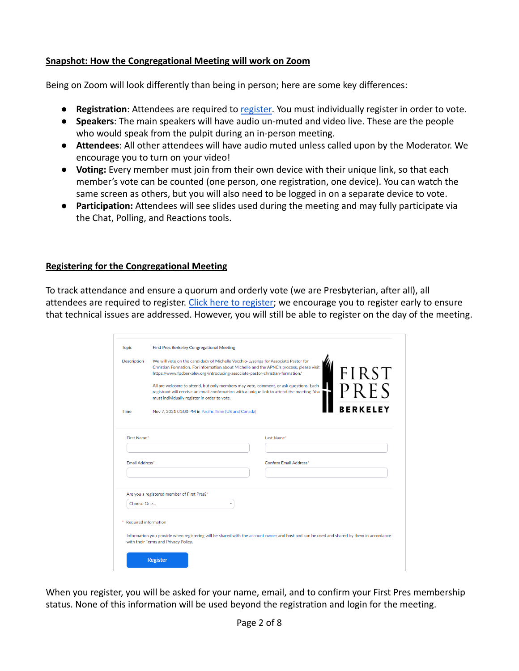## <span id="page-1-0"></span>**Snapshot: How the Congregational Meeting will work on Zoom**

Being on Zoom will look differently than being in person; here are some key differences:

- **Registration**: Attendees are required to [register.](https://us02web.zoom.us/meeting/register/tZUodO2hrD4qE9MwQkm9Gx34WjtqoQ0gPx_A) You must individually register in order to vote.
- **Speakers**: The main speakers will have audio un-muted and video live. These are the people who would speak from the pulpit during an in-person meeting.
- **Attendees**: All other attendees will have audio muted unless called upon by the Moderator. We encourage you to turn on your video!
- **Voting:** Every member must join from their own device with their unique link, so that each member's vote can be counted (one person, one registration, one device). You can watch the same screen as others, but you will also need to be logged in on a separate device to vote.
- **Participation:** Attendees will see slides used during the meeting and may fully participate via the Chat, Polling, and Reactions tools.

## <span id="page-1-1"></span>**Registering for the Congregational Meeting**

To track attendance and ensure a quorum and orderly vote (we are Presbyterian, after all), all attendees are required to register. [Click here to](https://us02web.zoom.us/meeting/register/tZUodO2hrD4qE9MwQkm9Gx34WjtqoQ0gPx_A) register; we encourage you to register early to ensure that technical issues are addressed. However, you will still be able to register on the day of the meeting.

| <b>Topic</b>           | <b>First Pres Berkeley Congregational Meeting</b>                                                                                                                                                                                                                                                                                                                                                                                                                                                       |                               |
|------------------------|---------------------------------------------------------------------------------------------------------------------------------------------------------------------------------------------------------------------------------------------------------------------------------------------------------------------------------------------------------------------------------------------------------------------------------------------------------------------------------------------------------|-------------------------------|
| <b>Description</b>     | We will vote on the candidacy of Michelle Vecchio-Lyzenga for Associate Pastor for<br>Christian Formation. For information about Michelle and the APNC's process, please visit<br>https://www.fpcberkeley.org/introducing-associate-pastor-christian-formation/<br>All are welcome to attend, but only members may vote, comment, or ask questions. Each<br>registrant will receive an email confirmation with a unique link to attend the meeting. You<br>must individually register in order to vote. | FIRST<br>PRES                 |
| <b>Time</b>            | Nov 7, 2021 01:00 PM in Pacific Time (US and Canada)                                                                                                                                                                                                                                                                                                                                                                                                                                                    | <b>BERKELFY</b>               |
| First Name*            |                                                                                                                                                                                                                                                                                                                                                                                                                                                                                                         | Last Name*                    |
| Email Address*         |                                                                                                                                                                                                                                                                                                                                                                                                                                                                                                         | <b>Confirm Email Address*</b> |
|                        |                                                                                                                                                                                                                                                                                                                                                                                                                                                                                                         |                               |
|                        | Are you a registered member of First Pres?*                                                                                                                                                                                                                                                                                                                                                                                                                                                             |                               |
| Choose One             |                                                                                                                                                                                                                                                                                                                                                                                                                                                                                                         |                               |
| * Required information |                                                                                                                                                                                                                                                                                                                                                                                                                                                                                                         |                               |
|                        | Information you provide when registering will be shared with the account owner and host and can be used and shared by them in accordance<br>with their Terms and Privacy Policy.                                                                                                                                                                                                                                                                                                                        |                               |
|                        |                                                                                                                                                                                                                                                                                                                                                                                                                                                                                                         |                               |

When you register, you will be asked for your name, email, and to confirm your First Pres membership status. None of this information will be used beyond the registration and login for the meeting.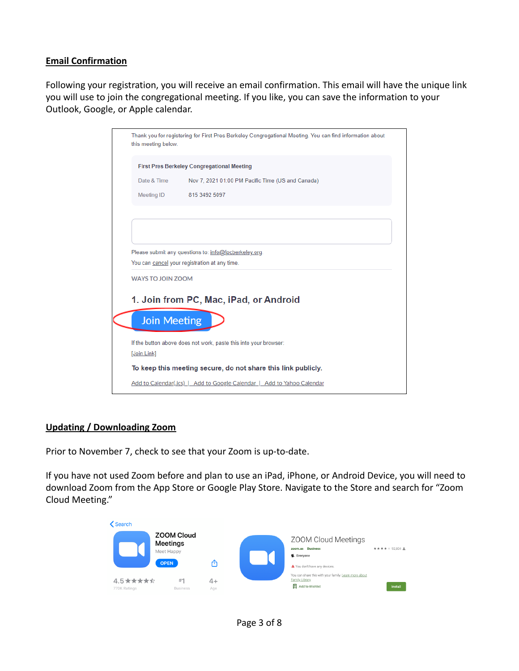## <span id="page-2-0"></span>**Email Confirmation**

Following your registration, you will receive an email confirmation. This email will have the unique link you will use to join the congregational meeting. If you like, you can save the information to your Outlook, Google, or Apple calendar.

| this meeting below.      | Thank you for registering for First Pres Berkeley Congregational Meeting. You can find information about |
|--------------------------|----------------------------------------------------------------------------------------------------------|
|                          | <b>First Pres Berkeley Congregational Meeting</b>                                                        |
| Date & Time              | Nov 7, 2021 01:00 PM Pacific Time (US and Canada)                                                        |
| Meeting ID               | 815 3492 5097                                                                                            |
|                          | Please submit any questions to: info@fpcberkeley.org.                                                    |
| <b>WAYS TO JOIN ZOOM</b> | You can cancel your registration at any time.                                                            |
| <b>Join Meeting</b>      | 1. Join from PC, Mac, iPad, or Android                                                                   |
|                          | If the button above does not work, paste this into your browser:                                         |
| [Join Link]              | To keep this meeting secure, do not share this link publicly.                                            |

#### <span id="page-2-1"></span>**Updating / Downloading Zoom**

Prior to November 7, check to see that your Zoom is up-to-date.

If you have not used Zoom before and plan to use an iPad, iPhone, or Android Device, you will need to download Zoom from the App Store or Google Play Store. Navigate to the Store and search for "Zoom Cloud Meeting."

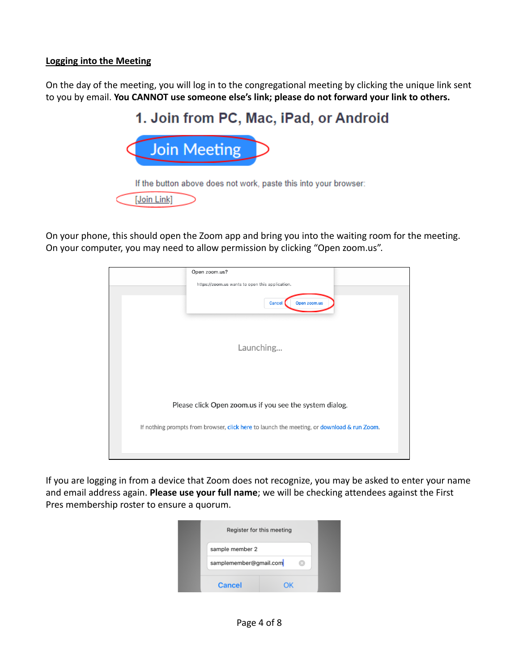## <span id="page-3-0"></span>**Logging into the Meeting**

On the day of the meeting, you will log in to the congregational meeting by clicking the unique link sent to you by email. **You CANNOT use someone else's link; please do not forward your link to others.**



On your phone, this should open the Zoom app and bring you into the waiting room for the meeting. On your computer, you may need to allow permission by clicking "Open zoom.us".



If you are logging in from a device that Zoom does not recognize, you may be asked to enter your name and email address again. **Please use your full name**; we will be checking attendees against the First Pres membership roster to ensure a quorum.

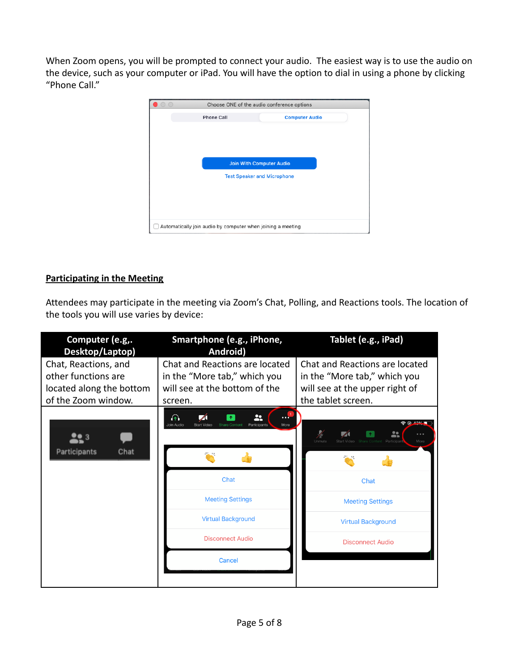When Zoom opens, you will be prompted to connect your audio. The easiest way is to use the audio on the device, such as your computer or iPad. You will have the option to dial in using a phone by clicking "Phone Call."



## <span id="page-4-0"></span>**Participating in the Meeting**

Attendees may participate in the meeting via Zoom's Chat, Polling, and Reactions tools. The location of the tools you will use varies by device:

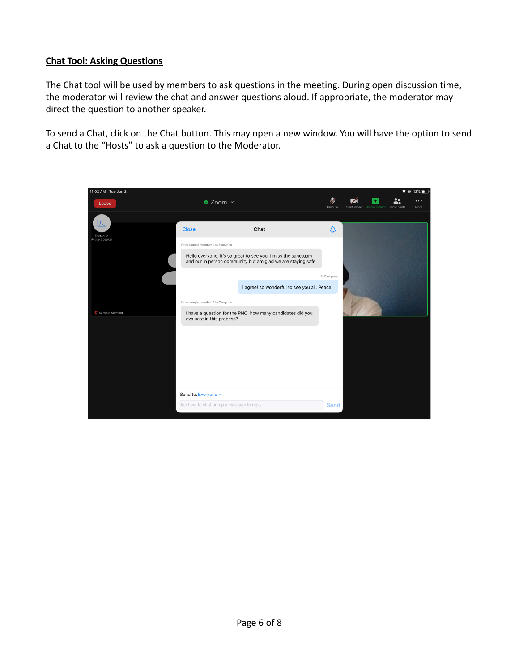## <span id="page-5-0"></span>**Chat Tool: Asking Questions**

The Chat tool will be used by members to ask questions in the meeting. During open discussion time, the moderator will review the chat and answer questions aloud. If appropriate, the moderator may direct the question to another speaker.

To send a Chat, click on the Chat button. This may open a new window. You will have the option to send a Chat to the "Hosts" to ask a question to the Moderator.

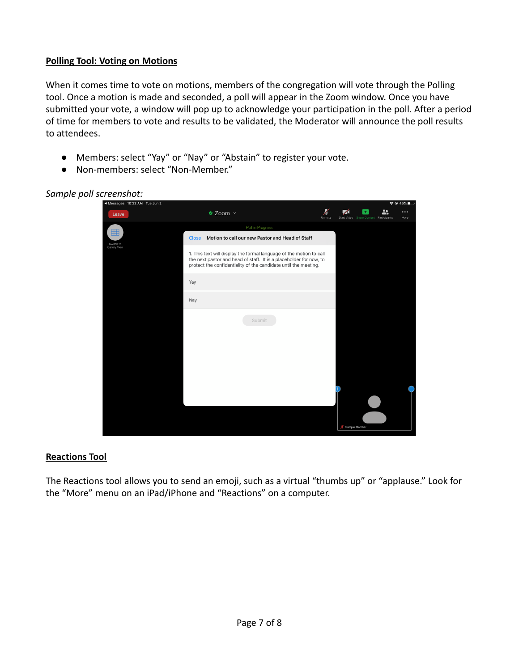## <span id="page-6-0"></span>**Polling Tool: Voting on Motions**

When it comes time to vote on motions, members of the congregation will vote through the Polling tool. Once a motion is made and seconded, a poll will appear in the Zoom window. Once you have submitted your vote, a window will pop up to acknowledge your participation in the poll. After a period of time for members to vote and results to be validated, the Moderator will announce the poll results to attendees.

- Members: select "Yay" or "Nay" or "Abstain" to register your vote.
- Non-members: select "Non-Member."

| ◀ Messages 10:32 AM Tue Jun 2  |                                                                                                                                                                                                              |             | $\hat{P}$ $\odot$ 45% |                                             |    |                  |  |
|--------------------------------|--------------------------------------------------------------------------------------------------------------------------------------------------------------------------------------------------------------|-------------|-----------------------|---------------------------------------------|----|------------------|--|
| Leave                          | ● Zoom ~                                                                                                                                                                                                     | Þ<br>Unmute |                       | 不<br>Start Video Share Content Participants | 22 | $\cdots$<br>More |  |
|                                | Poll in Progress                                                                                                                                                                                             |             |                       |                                             |    |                  |  |
| 囲<br>Switch to<br>Gallery View | Motion to call our new Pastor and Head of Staff<br><b>Close</b>                                                                                                                                              |             |                       |                                             |    |                  |  |
|                                | 1. This text will display the formal language of the motion to call<br>the next pastor and head of staff. It is a placeholder for now, to<br>protect the confidentiality of the candidate until the meeting. |             |                       |                                             |    |                  |  |
|                                | Yay                                                                                                                                                                                                          |             |                       |                                             |    |                  |  |
|                                | Nay                                                                                                                                                                                                          |             |                       |                                             |    |                  |  |
|                                | Submit                                                                                                                                                                                                       |             |                       |                                             |    |                  |  |
|                                |                                                                                                                                                                                                              |             | Sample Member         |                                             |    |                  |  |

## *Sample poll screenshot:*

## <span id="page-6-1"></span>**Reactions Tool**

The Reactions tool allows you to send an emoji, such as a virtual "thumbs up" or "applause." Look for the "More" menu on an iPad/iPhone and "Reactions" on a computer.